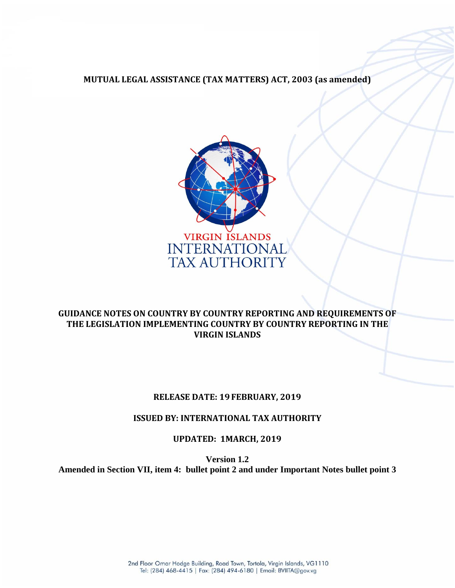#### **MUTUAL LEGAL ASSISTANCE (TAX MATTERS) ACT, 2003 (as amended)**



# **GUIDANCE NOTES ON COUNTRY BY COUNTRY REPORTING AND REQUIREMENTS OF THE LEGISLATION IMPLEMENTING COUNTRY BY COUNTRY REPORTING IN THE VIRGIN ISLANDS**

#### **RELEASE DATE: 19FEBRUARY, 2019**

#### **ISSUED BY: INTERNATIONAL TAX AUTHORITY**

## **UPDATED: 1MARCH, 2019**

**Version 1.2**

**Amended in Section VII, item 4: bullet point 2 and under Important Notes bullet point 3**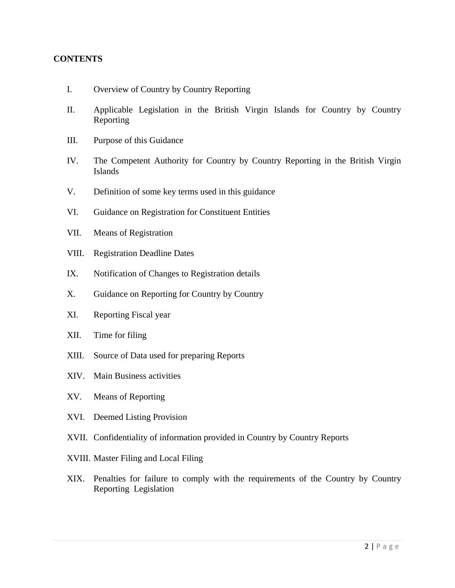#### **CONTENTS**

- I. Overview of Country by Country Reporting
- II. Applicable Legislation in the British Virgin Islands for Country by Country Reporting
- III. Purpose of this Guidance
- IV. The Competent Authority for Country by Country Reporting in the British Virgin Islands
- V. Definition of some key terms used in this guidance
- VI. Guidance on Registration for Constituent Entities
- VII. Means of Registration
- VIII. Registration Deadline Dates
- IX. Notification of Changes to Registration details
- X. Guidance on Reporting for Country by Country
- XI. Reporting Fiscal year
- XII. Time for filing
- XIII. Source of Data used for preparing Reports
- XIV. Main Business activities
- XV. Means of Reporting
- XVI. Deemed Listing Provision
- XVII. Confidentiality of information provided in Country by Country Reports
- XVIII. Master Filing and Local Filing
- XIX. Penalties for failure to comply with the requirements of the Country by Country Reporting Legislation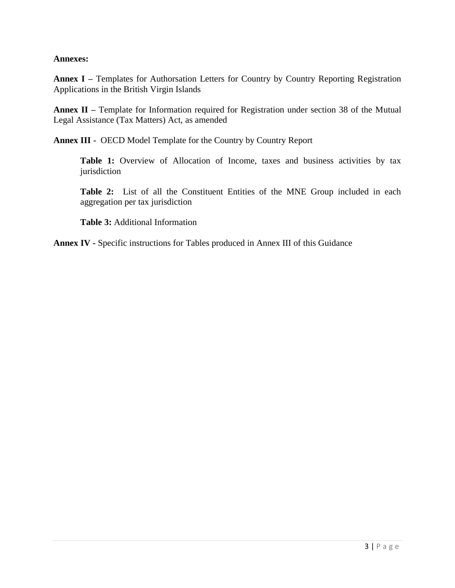#### **Annexes:**

**Annex I –** Templates for Authorsation Letters for Country by Country Reporting Registration Applications in the British Virgin Islands

**Annex II –** Template for Information required for Registration under section 38 of the Mutual Legal Assistance (Tax Matters) Act, as amended

**Annex III -** OECD Model Template for the Country by Country Report

Table 1: Overview of Allocation of Income, taxes and business activities by tax jurisdiction

**Table 2:** List of all the Constituent Entities of the MNE Group included in each aggregation per tax jurisdiction

**Table 3:** Additional Information

**Annex IV -** Specific instructions for Tables produced in Annex III of this Guidance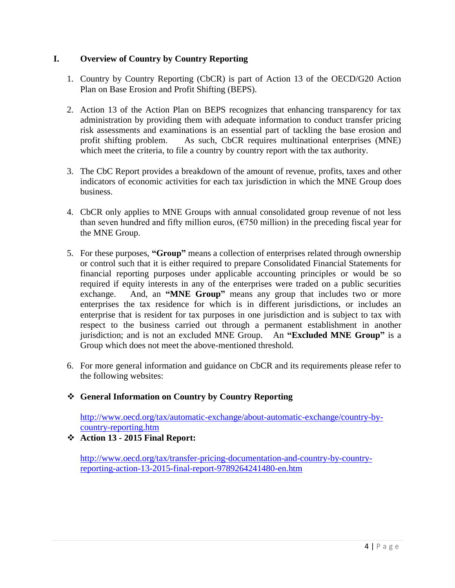### **I. Overview of Country by Country Reporting**

- 1. Country by Country Reporting (CbCR) is part of Action 13 of the OECD/G20 Action Plan on Base Erosion and Profit Shifting (BEPS).
- 2. Action 13 of the Action Plan on BEPS recognizes that enhancing transparency for tax administration by providing them with adequate information to conduct transfer pricing risk assessments and examinations is an essential part of tackling the base erosion and profit shifting problem. As such, CbCR requires multinational enterprises (MNE) which meet the criteria, to file a country by country report with the tax authority.
- 3. The CbC Report provides a breakdown of the amount of revenue, profits, taxes and other indicators of economic activities for each tax jurisdiction in which the MNE Group does business.
- 4. CbCR only applies to MNE Groups with annual consolidated group revenue of not less than seven hundred and fifty million euros,  $(\epsilon 750$  million) in the preceding fiscal year for the MNE Group.
- 5. For these purposes, **"Group"** means a collection of enterprises related through ownership or control such that it is either required to prepare Consolidated Financial Statements for financial reporting purposes under applicable accounting principles or would be so required if equity interests in any of the enterprises were traded on a public securities exchange. And, an **"MNE Group"** means any group that includes two or more enterprises the tax residence for which is in different jurisdictions, or includes an enterprise that is resident for tax purposes in one jurisdiction and is subject to tax with respect to the business carried out through a permanent establishment in another jurisdiction; and is not an excluded MNE Group. An **"Excluded MNE Group"** is a Group which does not meet the above-mentioned threshold.
- 6. For more general information and guidance on CbCR and its requirements please refer to the following websites:
- **General Information on Country by Country Reporting**

[http://www.oecd.org/tax/automatic-exchange/about-automatic-exchange/country-by](http://www.oecd.org/tax/automatic-exchange/about-automatic-exchange/country-by-country-reporting.htm)[country-reporting.htm](http://www.oecd.org/tax/automatic-exchange/about-automatic-exchange/country-by-country-reporting.htm)

**Action 13 - 2015 Final Report:**

[http://www.oecd.org/tax/transfer-pricing-documentation-and-country-by-country](http://www.oecd.org/tax/transfer-pricing-documentation-and-country-by-country-reporting-action-13-2015-final-report-9789264241480-en.htm)[reporting-action-13-2015-final-report-9789264241480-en.htm](http://www.oecd.org/tax/transfer-pricing-documentation-and-country-by-country-reporting-action-13-2015-final-report-9789264241480-en.htm)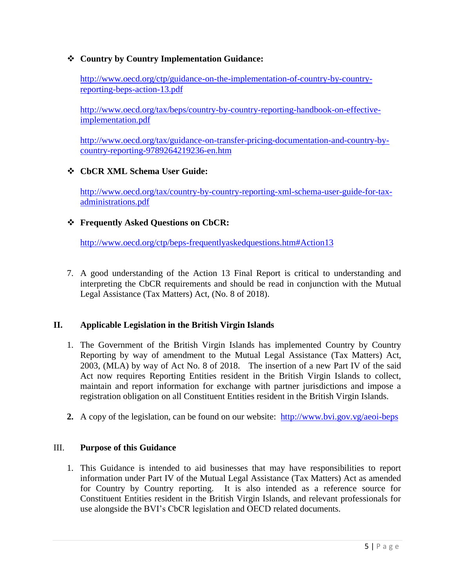## **Country by Country Implementation Guidance:**

[http://www.oecd.org/ctp/guidance-on-the-implementation-of-country-by-country](http://www.oecd.org/ctp/guidance-on-the-implementation-of-country-by-country-reporting-beps-action-13.pdf)[reporting-beps-action-13.pdf](http://www.oecd.org/ctp/guidance-on-the-implementation-of-country-by-country-reporting-beps-action-13.pdf)

[http://www.oecd.org/tax/beps/country-by-country-reporting-handbook-on-effective](http://www.oecd.org/tax/beps/country-by-country-reporting-handbook-on-effective-implementation.pdf)[implementation.pdf](http://www.oecd.org/tax/beps/country-by-country-reporting-handbook-on-effective-implementation.pdf)

[http://www.oecd.org/tax/guidance-on-transfer-pricing-documentation-and-country-by](http://www.oecd.org/tax/guidance-on-transfer-pricing-documentation-and-country-by-country-reporting-9789264219236-en.htm)[country-reporting-9789264219236-en.htm](http://www.oecd.org/tax/guidance-on-transfer-pricing-documentation-and-country-by-country-reporting-9789264219236-en.htm)

### **CbCR XML Schema User Guide:**

[http://www.oecd.org/tax/country-by-country-reporting-xml-schema-user-guide-for-tax](http://www.oecd.org/tax/country-by-country-reporting-xml-schema-user-guide-for-tax-administrations.pdf)[administrations.pdf](http://www.oecd.org/tax/country-by-country-reporting-xml-schema-user-guide-for-tax-administrations.pdf)

## **Frequently Asked Questions on CbCR:**

<http://www.oecd.org/ctp/beps-frequentlyaskedquestions.htm#Action13>

7. A good understanding of the Action 13 Final Report is critical to understanding and interpreting the CbCR requirements and should be read in conjunction with the Mutual Legal Assistance (Tax Matters) Act, (No. 8 of 2018).

### **II. Applicable Legislation in the British Virgin Islands**

- 1. The Government of the British Virgin Islands has implemented Country by Country Reporting by way of amendment to the Mutual Legal Assistance (Tax Matters) Act, 2003, (MLA) by way of Act No. 8 of 2018. The insertion of a new Part IV of the said Act now requires Reporting Entities resident in the British Virgin Islands to collect, maintain and report information for exchange with partner jurisdictions and impose a registration obligation on all Constituent Entities resident in the British Virgin Islands.
- **2.** A copy of the legislation, can be found on our website: <http://www.bvi.gov.vg/aeoi-beps>

### III. **Purpose of this Guidance**

1. This Guidance is intended to aid businesses that may have responsibilities to report information under Part IV of the Mutual Legal Assistance (Tax Matters) Act as amended for Country by Country reporting. It is also intended as a reference source for Constituent Entities resident in the British Virgin Islands, and relevant professionals for use alongside the BVI's CbCR legislation and OECD related documents.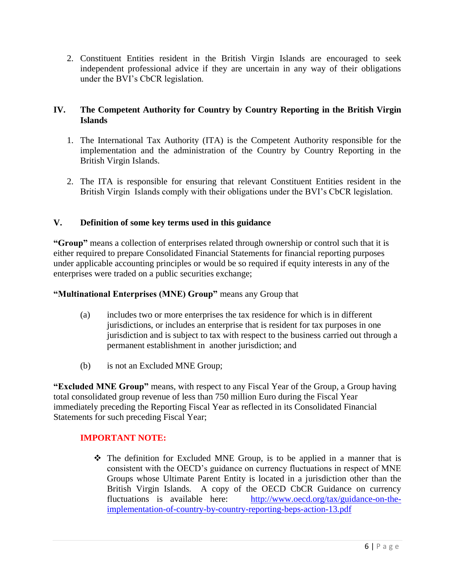2. Constituent Entities resident in the British Virgin Islands are encouraged to seek independent professional advice if they are uncertain in any way of their obligations under the BVI's CbCR legislation.

## **IV. The Competent Authority for Country by Country Reporting in the British Virgin Islands**

- 1. The International Tax Authority (ITA) is the Competent Authority responsible for the implementation and the administration of the Country by Country Reporting in the British Virgin Islands.
- 2. The ITA is responsible for ensuring that relevant Constituent Entities resident in the British Virgin Islands comply with their obligations under the BVI's CbCR legislation.

## **V. Definition of some key terms used in this guidance**

**"Group"** means a collection of enterprises related through ownership or control such that it is either required to prepare Consolidated Financial Statements for financial reporting purposes under applicable accounting principles or would be so required if equity interests in any of the enterprises were traded on a public securities exchange;

### **"Multinational Enterprises (MNE) Group"** means any Group that

- (a) includes two or more enterprises the tax residence for which is in different jurisdictions, or includes an enterprise that is resident for tax purposes in one jurisdiction and is subject to tax with respect to the business carried out through a permanent establishment in another jurisdiction; and
- (b) is not an Excluded MNE Group;

**"Excluded MNE Group"** means, with respect to any Fiscal Year of the Group, a Group having total consolidated group revenue of less than 750 million Euro during the Fiscal Year immediately preceding the Reporting Fiscal Year as reflected in its Consolidated Financial Statements for such preceding Fiscal Year;

### **IMPORTANT NOTE:**

 $\hat{\cdot}$  The definition for Excluded MNE Group, is to be applied in a manner that is consistent with the OECD's guidance on currency fluctuations in respect of MNE Groups whose Ultimate Parent Entity is located in a jurisdiction other than the British Virgin Islands. A copy of the OECD CbCR Guidance on currency fluctuations is available here: [http://www.oecd.org/tax/guidance-on-the](http://www.oecd.org/tax/guidance-on-the-implementation-of-country-by-country-reporting-beps-action-13.pdf)[implementation-of-country-by-country-reporting-beps-action-13.pdf](http://www.oecd.org/tax/guidance-on-the-implementation-of-country-by-country-reporting-beps-action-13.pdf)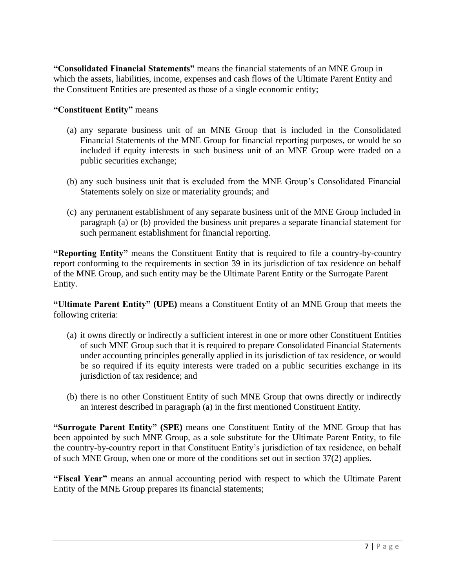**"Consolidated Financial Statements"** means the financial statements of an MNE Group in which the assets, liabilities, income, expenses and cash flows of the Ultimate Parent Entity and the Constituent Entities are presented as those of a single economic entity;

## **"Constituent Entity"** means

- (a) any separate business unit of an MNE Group that is included in the Consolidated Financial Statements of the MNE Group for financial reporting purposes, or would be so included if equity interests in such business unit of an MNE Group were traded on a public securities exchange;
- (b) any such business unit that is excluded from the MNE Group's Consolidated Financial Statements solely on size or materiality grounds; and
- (c) any permanent establishment of any separate business unit of the MNE Group included in paragraph (a) or (b) provided the business unit prepares a separate financial statement for such permanent establishment for financial reporting.

**"Reporting Entity"** means the Constituent Entity that is required to file a country-by-country report conforming to the requirements in section 39 in its jurisdiction of tax residence on behalf of the MNE Group, and such entity may be the Ultimate Parent Entity or the Surrogate Parent Entity.

**"Ultimate Parent Entity" (UPE)** means a Constituent Entity of an MNE Group that meets the following criteria:

- (a) it owns directly or indirectly a sufficient interest in one or more other Constituent Entities of such MNE Group such that it is required to prepare Consolidated Financial Statements under accounting principles generally applied in its jurisdiction of tax residence, or would be so required if its equity interests were traded on a public securities exchange in its jurisdiction of tax residence; and
- (b) there is no other Constituent Entity of such MNE Group that owns directly or indirectly an interest described in paragraph (a) in the first mentioned Constituent Entity.

**"Surrogate Parent Entity" (SPE)** means one Constituent Entity of the MNE Group that has been appointed by such MNE Group, as a sole substitute for the Ultimate Parent Entity, to file the country-by-country report in that Constituent Entity's jurisdiction of tax residence, on behalf of such MNE Group, when one or more of the conditions set out in section 37(2) applies.

**"Fiscal Year"** means an annual accounting period with respect to which the Ultimate Parent Entity of the MNE Group prepares its financial statements;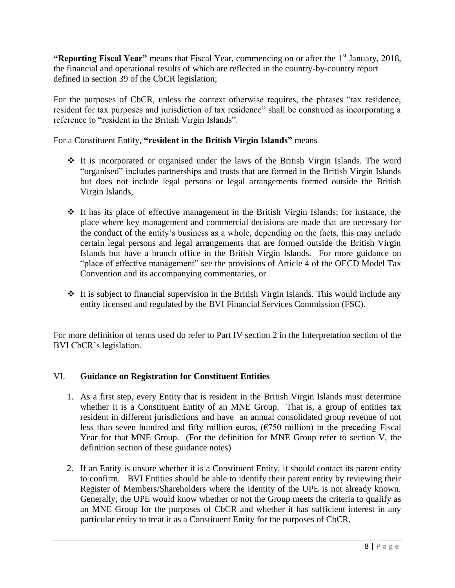**"Reporting Fiscal Year"** means that Fiscal Year, commencing on or after the 1<sup>st</sup> January, 2018, the financial and operational results of which are reflected in the country-by-country report defined in section 39 of the CbCR legislation;

For the purposes of CbCR, unless the context otherwise requires, the phrases "tax residence, resident for tax purposes and jurisdiction of tax residence" shall be construed as incorporating a reference to "resident in the British Virgin Islands".

For a Constituent Entity, **"resident in the British Virgin Islands"** means

- It is incorporated or organised under the laws of the British Virgin Islands. The word "organised" includes partnerships and trusts that are formed in the British Virgin Islands but does not include legal persons or legal arrangements formed outside the British Virgin Islands,
- $\cdot \cdot$  It has its place of effective management in the British Virgin Islands; for instance, the place where key management and commercial decisions are made that are necessary for the conduct of the entity's business as a whole, depending on the facts, this may include certain legal persons and legal arrangements that are formed outside the British Virgin Islands but have a branch office in the British Virgin Islands. For more guidance on "place of effective management" see the provisions of Article 4 of the OECD Model Tax Convention and its accompanying commentaries, or
- $\cdot$  It is subject to financial supervision in the British Virgin Islands. This would include any entity licensed and regulated by the BVI Financial Services Commission (FSC).

For more definition of terms used do refer to Part IV section 2 in the Interpretation section of the BVI CbCR's legislation.

# VI. **Guidance on Registration for Constituent Entities**

- 1. As a first step, every Entity that is resident in the British Virgin Islands must determine whether it is a Constituent Entity of an MNE Group. That is, a group of entities tax resident in different jurisdictions and have an annual consolidated group revenue of not less than seven hundred and fifty million euros,  $(6750 \text{ million})$  in the preceding Fiscal Year for that MNE Group. (For the definition for MNE Group refer to section V, the definition section of these guidance notes)
- 2. If an Entity is unsure whether it is a Constituent Entity, it should contact its parent entity to confirm. BVI Entities should be able to identify their parent entity by reviewing their Register of Members/Shareholders where the identity of the UPE is not already known. Generally, the UPE would know whether or not the Group meets the criteria to qualify as an MNE Group for the purposes of CbCR and whether it has sufficient interest in any particular entity to treat it as a Constituent Entity for the purposes of CbCR.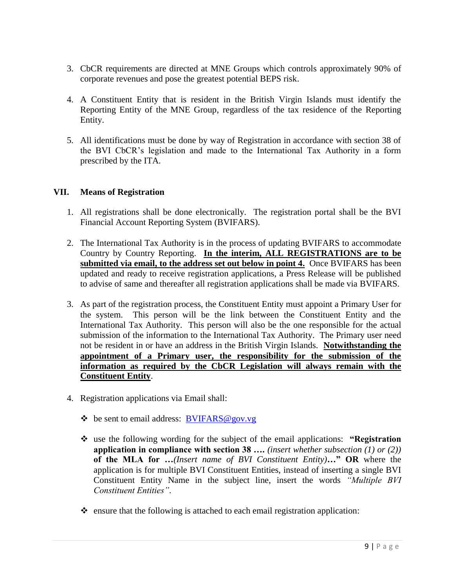- 3. CbCR requirements are directed at MNE Groups which controls approximately 90% of corporate revenues and pose the greatest potential BEPS risk.
- 4. A Constituent Entity that is resident in the British Virgin Islands must identify the Reporting Entity of the MNE Group, regardless of the tax residence of the Reporting Entity.
- 5. All identifications must be done by way of Registration in accordance with section 38 of the BVI CbCR's legislation and made to the International Tax Authority in a form prescribed by the ITA.

#### **VII. Means of Registration**

- 1. All registrations shall be done electronically. The registration portal shall be the BVI Financial Account Reporting System (BVIFARS).
- 2. The International Tax Authority is in the process of updating BVIFARS to accommodate Country by Country Reporting. **In the interim, ALL REGISTRATIONS are to be submitted via email, to the address set out below in point 4.** Once BVIFARS has been updated and ready to receive registration applications, a Press Release will be published to advise of same and thereafter all registration applications shall be made via BVIFARS.
- 3. As part of the registration process, the Constituent Entity must appoint a Primary User for the system. This person will be the link between the Constituent Entity and the International Tax Authority. This person will also be the one responsible for the actual submission of the information to the International Tax Authority. The Primary user need not be resident in or have an address in the British Virgin Islands. **Notwithstanding the appointment of a Primary user, the responsibility for the submission of the information as required by the CbCR Legislation will always remain with the Constituent Entity**.
- 4. Registration applications via Email shall:
	- $\triangleq$  be sent to email address: [BVIFARS@gov.vg](mailto:BVIFARS@gov.vg)
	- use the following wording for the subject of the email applications: **"Registration application in compliance with section 38 ….** *(insert whether subsection (1) or (2))* **of the MLA for …***(Insert name of BVI Constituent Entity)***…" OR** where the application is for multiple BVI Constituent Entities, instead of inserting a single BVI Constituent Entity Name in the subject line, insert the words *"Multiple BVI Constituent Entities"*.
	- $\triangleleft$  ensure that the following is attached to each email registration application: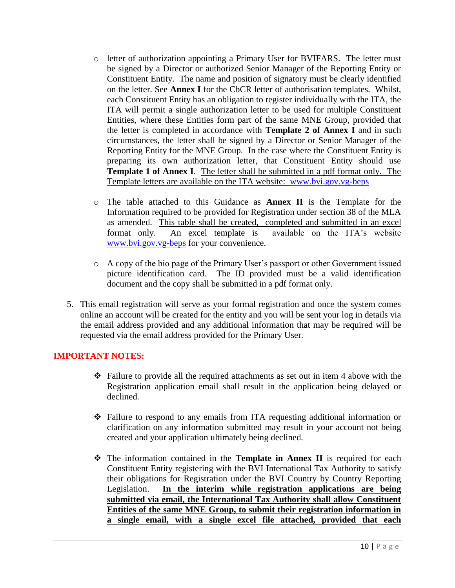- o letter of authorization appointing a Primary User for BVIFARS. The letter must be signed by a Director or authorized Senior Manager of the Reporting Entity or Constituent Entity. The name and position of signatory must be clearly identified on the letter. See **Annex I** for the CbCR letter of authorisation templates. Whilst, each Constituent Entity has an obligation to register individually with the ITA, the ITA will permit a single authorization letter to be used for multiple Constituent Entities, where these Entities form part of the same MNE Group, provided that the letter is completed in accordance with **Template 2 of Annex I** and in such circumstances, the letter shall be signed by a Director or Senior Manager of the Reporting Entity for the MNE Group. In the case where the Constituent Entity is preparing its own authorization letter, that Constituent Entity should use **Template 1 of Annex I**. The letter shall be submitted in a pdf format only. The Template letters are available on the ITA website: [www.bvi.gov.vg-beps](http://www.bvi.gov.vg-beps/)
- o The table attached to this Guidance as **Annex II** is the Template for the Information required to be provided for Registration under section 38 of the MLA as amended. This table shall be created, completed and submitted in an excel format only. An excel template is available on the ITA's website [www.bvi.gov.vg-beps](http://www.bvi.gov.vg-beps/) for your convenience.
- o A copy of the bio page of the Primary User's passport or other Government issued picture identification card. The ID provided must be a valid identification document and the copy shall be submitted in a pdf format only.
- 5. This email registration will serve as your formal registration and once the system comes online an account will be created for the entity and you will be sent your log in details via the email address provided and any additional information that may be required will be requested via the email address provided for the Primary User.

### **IMPORTANT NOTES:**

- $\div$  Failure to provide all the required attachments as set out in item 4 above with the Registration application email shall result in the application being delayed or declined.
- Failure to respond to any emails from ITA requesting additional information or clarification on any information submitted may result in your account not being created and your application ultimately being declined.
- The information contained in the **Template in Annex II** is required for each Constituent Entity registering with the BVI International Tax Authority to satisfy their obligations for Registration under the BVI Country by Country Reporting Legislation. **In the interim while registration applications are being submitted via email, the International Tax Authority shall allow Constituent Entities of the same MNE Group, to submit their registration information in a single email, with a single excel file attached, provided that each**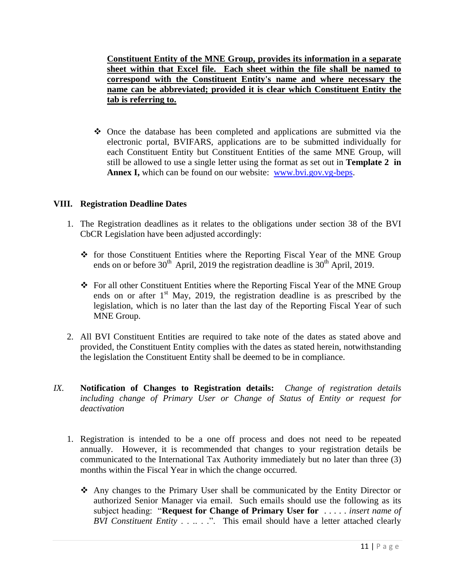**Constituent Entity of the MNE Group, provides its information in a separate sheet within that Excel file. Each sheet within the file shall be named to correspond with the Constituent Entity's name and where necessary the name can be abbreviated; provided it is clear which Constituent Entity the tab is referring to.**

 $\div$  Once the database has been completed and applications are submitted via the electronic portal, BVIFARS, applications are to be submitted individually for each Constituent Entity but Constituent Entities of the same MNE Group, will still be allowed to use a single letter using the format as set out in **Template 2 in Annex I,** which can be found on our website: [www.bvi.gov.vg-beps.](http://www.bvi.gov.vg-beps/)

#### **VIII. Registration Deadline Dates**

- 1. The Registration deadlines as it relates to the obligations under section 38 of the BVI CbCR Legislation have been adjusted accordingly:
	- for those Constituent Entities where the Reporting Fiscal Year of the MNE Group ends on or before  $30<sup>th</sup>$  April, 2019 the registration deadline is  $30<sup>th</sup>$  April, 2019.
	- For all other Constituent Entities where the Reporting Fiscal Year of the MNE Group ends on or after  $1<sup>st</sup>$  May, 2019, the registration deadline is as prescribed by the legislation, which is no later than the last day of the Reporting Fiscal Year of such MNE Group.
- 2. All BVI Constituent Entities are required to take note of the dates as stated above and provided, the Constituent Entity complies with the dates as stated herein, notwithstanding the legislation the Constituent Entity shall be deemed to be in compliance.
- *IX.* **Notification of Changes to Registration details:** *Change of registration details including change of Primary User or Change of Status of Entity or request for deactivation*
	- 1. Registration is intended to be a one off process and does not need to be repeated annually. However, it is recommended that changes to your registration details be communicated to the International Tax Authority immediately but no later than three (3) months within the Fiscal Year in which the change occurred.
		- Any changes to the Primary User shall be communicated by the Entity Director or authorized Senior Manager via email. Such emails should use the following as its subject heading: "**Request for Change of Primary User for** . . . . . *insert name of BVI Constituent Entity* . . .. . .". This email should have a letter attached clearly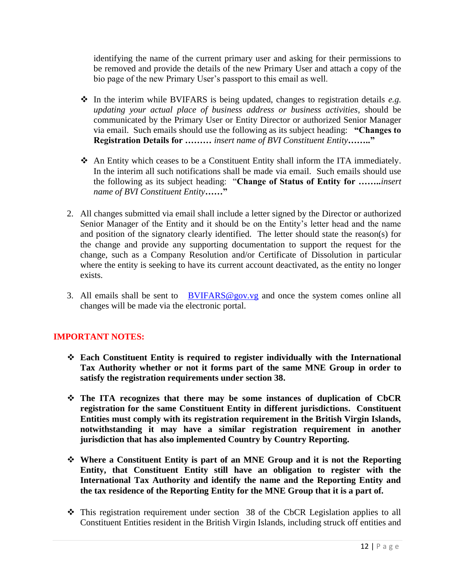identifying the name of the current primary user and asking for their permissions to be removed and provide the details of the new Primary User and attach a copy of the bio page of the new Primary User's passport to this email as well.

- In the interim while BVIFARS is being updated, changes to registration details *e.g. updating your actual place of business address or business activities,* should be communicated by the Primary User or Entity Director or authorized Senior Manager via email. Such emails should use the following as its subject heading: **"Changes to Registration Details for ………** *insert name of BVI Constituent Entity***…….."**
- An Entity which ceases to be a Constituent Entity shall inform the ITA immediately. In the interim all such notifications shall be made via email. Such emails should use the following as its subject heading: "**Change of Status of Entity for ……..***insert name of BVI Constituent Entity***……"**
- 2. All changes submitted via email shall include a letter signed by the Director or authorized Senior Manager of the Entity and it should be on the Entity's letter head and the name and position of the signatory clearly identified. The letter should state the reason(s) for the change and provide any supporting documentation to support the request for the change, such as a Company Resolution and/or Certificate of Dissolution in particular where the entity is seeking to have its current account deactivated, as the entity no longer exists.
- 3. All emails shall be sent to [BVIFARS@gov.vg](mailto:BVIFARS@gov.vg) and once the system comes online all changes will be made via the electronic portal.

# **IMPORTANT NOTES:**

- **Each Constituent Entity is required to register individually with the International Tax Authority whether or not it forms part of the same MNE Group in order to satisfy the registration requirements under section 38.**
- **The ITA recognizes that there may be some instances of duplication of CbCR registration for the same Constituent Entity in different jurisdictions. Constituent Entities must comply with its registration requirement in the British Virgin Islands, notwithstanding it may have a similar registration requirement in another jurisdiction that has also implemented Country by Country Reporting.**
- **Where a Constituent Entity is part of an MNE Group and it is not the Reporting Entity, that Constituent Entity still have an obligation to register with the International Tax Authority and identify the name and the Reporting Entity and the tax residence of the Reporting Entity for the MNE Group that it is a part of.**
- This registration requirement under section 38 of the CbCR Legislation applies to all Constituent Entities resident in the British Virgin Islands, including struck off entities and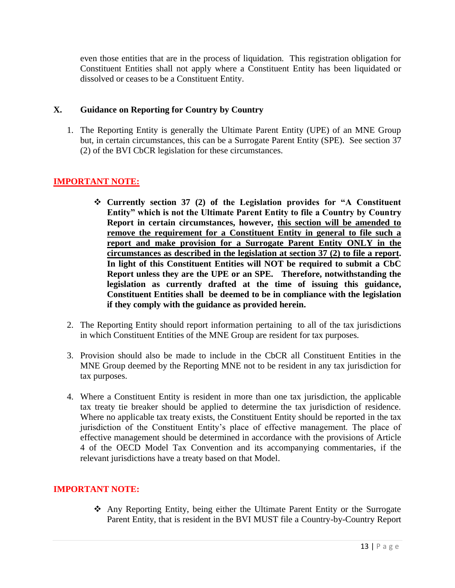even those entities that are in the process of liquidation. This registration obligation for Constituent Entities shall not apply where a Constituent Entity has been liquidated or dissolved or ceases to be a Constituent Entity.

## **X. Guidance on Reporting for Country by Country**

1. The Reporting Entity is generally the Ultimate Parent Entity (UPE) of an MNE Group but, in certain circumstances, this can be a Surrogate Parent Entity (SPE). See section 37 (2) of the BVI CbCR legislation for these circumstances.

## **IMPORTANT NOTE:**

- **Currently section 37 (2) of the Legislation provides for "A Constituent Entity" which is not the Ultimate Parent Entity to file a Country by Country Report in certain circumstances, however, this section will be amended to remove the requirement for a Constituent Entity in general to file such a report and make provision for a Surrogate Parent Entity ONLY in the circumstances as described in the legislation at section 37 (2) to file a report. In light of this Constituent Entities will NOT be required to submit a CbC Report unless they are the UPE or an SPE. Therefore, notwithstanding the legislation as currently drafted at the time of issuing this guidance, Constituent Entities shall be deemed to be in compliance with the legislation if they comply with the guidance as provided herein.**
- 2. The Reporting Entity should report information pertaining to all of the tax jurisdictions in which Constituent Entities of the MNE Group are resident for tax purposes.
- 3. Provision should also be made to include in the CbCR all Constituent Entities in the MNE Group deemed by the Reporting MNE not to be resident in any tax jurisdiction for tax purposes.
- 4. Where a Constituent Entity is resident in more than one tax jurisdiction, the applicable tax treaty tie breaker should be applied to determine the tax jurisdiction of residence. Where no applicable tax treaty exists, the Constituent Entity should be reported in the tax jurisdiction of the Constituent Entity's place of effective management. The place of effective management should be determined in accordance with the provisions of Article 4 of the OECD Model Tax Convention and its accompanying commentaries, if the relevant jurisdictions have a treaty based on that Model.

### **IMPORTANT NOTE:**

 Any Reporting Entity, being either the Ultimate Parent Entity or the Surrogate Parent Entity, that is resident in the BVI MUST file a Country-by-Country Report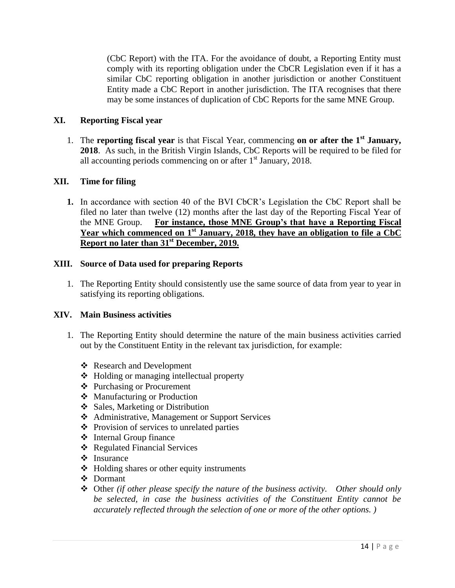(CbC Report) with the ITA. For the avoidance of doubt, a Reporting Entity must comply with its reporting obligation under the CbCR Legislation even if it has a similar CbC reporting obligation in another jurisdiction or another Constituent Entity made a CbC Report in another jurisdiction. The ITA recognises that there may be some instances of duplication of CbC Reports for the same MNE Group.

## **XI. Reporting Fiscal year**

1. The **reporting fiscal year** is that Fiscal Year, commencing **on or after the 1st January, 2018**. As such, in the British Virgin Islands, CbC Reports will be required to be filed for all accounting periods commencing on or after  $1<sup>st</sup>$  January, 2018.

### **XII. Time for filing**

**1.** In accordance with section 40 of the BVI CbCR's Legislation the CbC Report shall be filed no later than twelve (12) months after the last day of the Reporting Fiscal Year of the MNE Group. **For instance, those MNE Group's that have a Reporting Fiscal Year which commenced on 1st January, 2018, they have an obligation to file a CbC Report no later than 31 st December, 2019.**

### **XIII. Source of Data used for preparing Reports**

1. The Reporting Entity should consistently use the same source of data from year to year in satisfying its reporting obligations.

### **XIV. Main Business activities**

- 1. The Reporting Entity should determine the nature of the main business activities carried out by the Constituent Entity in the relevant tax jurisdiction, for example:
	- Research and Development
	- ❖ Holding or managing intellectual property
	- Purchasing or Procurement
	- Manufacturing or Production
	- ❖ Sales, Marketing or Distribution
	- Administrative, Management or Support Services
	- ❖ Provision of services to unrelated parties
	- Internal Group finance
	- Regulated Financial Services
	- ❖ Insurance
	- $\triangleleft$  Holding shares or other equity instruments
	- Dormant
	- Other *(if other please specify the nature of the business activity. Other should only be selected, in case the business activities of the Constituent Entity cannot be accurately reflected through the selection of one or more of the other options. )*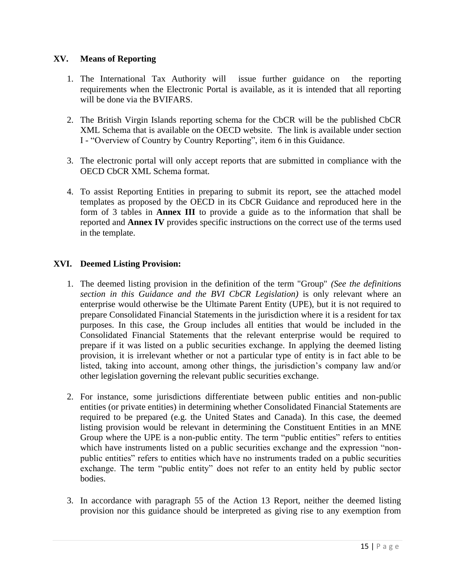#### **XV. Means of Reporting**

- 1. The International Tax Authority will issue further guidance on the reporting requirements when the Electronic Portal is available, as it is intended that all reporting will be done via the BVIFARS.
- 2. The British Virgin Islands reporting schema for the CbCR will be the published CbCR XML Schema that is available on the OECD website. The link is available under section I - "Overview of Country by Country Reporting", item 6 in this Guidance.
- 3. The electronic portal will only accept reports that are submitted in compliance with the OECD CbCR XML Schema format.
- 4. To assist Reporting Entities in preparing to submit its report, see the attached model templates as proposed by the OECD in its CbCR Guidance and reproduced here in the form of 3 tables in **Annex III** to provide a guide as to the information that shall be reported and **Annex IV** provides specific instructions on the correct use of the terms used in the template.

### **XVI. Deemed Listing Provision:**

- 1. The deemed listing provision in the definition of the term "Group" *(See the definitions section in this Guidance and the BVI CbCR Legislation)* is only relevant where an enterprise would otherwise be the Ultimate Parent Entity (UPE), but it is not required to prepare Consolidated Financial Statements in the jurisdiction where it is a resident for tax purposes. In this case, the Group includes all entities that would be included in the Consolidated Financial Statements that the relevant enterprise would be required to prepare if it was listed on a public securities exchange. In applying the deemed listing provision, it is irrelevant whether or not a particular type of entity is in fact able to be listed, taking into account, among other things, the jurisdiction's company law and/or other legislation governing the relevant public securities exchange.
- 2. For instance, some jurisdictions differentiate between public entities and non-public entities (or private entities) in determining whether Consolidated Financial Statements are required to be prepared (e.g. the United States and Canada). In this case, the deemed listing provision would be relevant in determining the Constituent Entities in an MNE Group where the UPE is a non-public entity. The term "public entities" refers to entities which have instruments listed on a public securities exchange and the expression "nonpublic entities" refers to entities which have no instruments traded on a public securities exchange. The term "public entity" does not refer to an entity held by public sector bodies.
- 3. In accordance with paragraph 55 of the Action 13 Report, neither the deemed listing provision nor this guidance should be interpreted as giving rise to any exemption from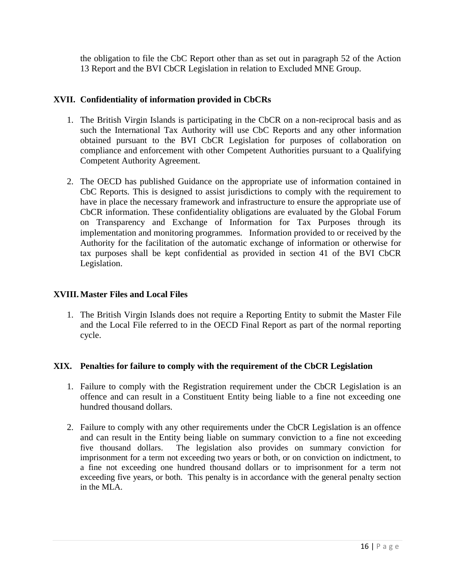the obligation to file the CbC Report other than as set out in paragraph 52 of the Action 13 Report and the BVI CbCR Legislation in relation to Excluded MNE Group.

## **XVII. Confidentiality of information provided in CbCRs**

- 1. The British Virgin Islands is participating in the CbCR on a non-reciprocal basis and as such the International Tax Authority will use CbC Reports and any other information obtained pursuant to the BVI CbCR Legislation for purposes of collaboration on compliance and enforcement with other Competent Authorities pursuant to a Qualifying Competent Authority Agreement.
- 2. The OECD has published Guidance on the appropriate use of information contained in CbC Reports. This is designed to assist jurisdictions to comply with the requirement to have in place the necessary framework and infrastructure to ensure the appropriate use of CbCR information. These confidentiality obligations are evaluated by the Global Forum on Transparency and Exchange of Information for Tax Purposes through its implementation and monitoring programmes. Information provided to or received by the Authority for the facilitation of the automatic exchange of information or otherwise for tax purposes shall be kept confidential as provided in section 41 of the BVI CbCR Legislation.

## **XVIII.Master Files and Local Files**

1. The British Virgin Islands does not require a Reporting Entity to submit the Master File and the Local File referred to in the OECD Final Report as part of the normal reporting cycle.

### **XIX. Penalties for failure to comply with the requirement of the CbCR Legislation**

- 1. Failure to comply with the Registration requirement under the CbCR Legislation is an offence and can result in a Constituent Entity being liable to a fine not exceeding one hundred thousand dollars.
- 2. Failure to comply with any other requirements under the CbCR Legislation is an offence and can result in the Entity being liable on summary conviction to a fine not exceeding five thousand dollars. The legislation also provides on summary conviction for imprisonment for a term not exceeding two years or both, or on conviction on indictment, to a fine not exceeding one hundred thousand dollars or to imprisonment for a term not exceeding five years, or both. This penalty is in accordance with the general penalty section in the MLA.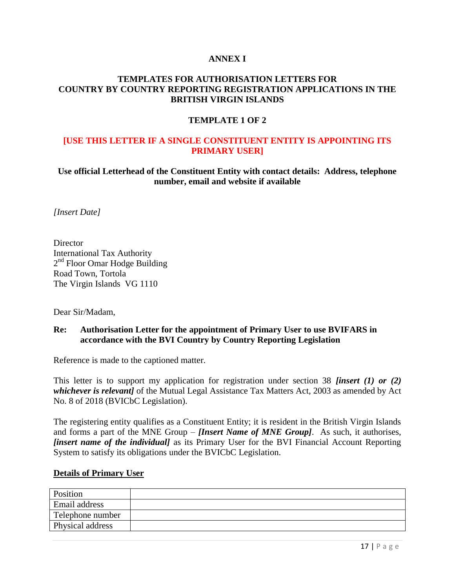#### **ANNEX I**

#### **TEMPLATES FOR AUTHORISATION LETTERS FOR COUNTRY BY COUNTRY REPORTING REGISTRATION APPLICATIONS IN THE BRITISH VIRGIN ISLANDS**

#### **TEMPLATE 1 OF 2**

#### **[USE THIS LETTER IF A SINGLE CONSTITUENT ENTITY IS APPOINTING ITS PRIMARY USER]**

**Use official Letterhead of the Constituent Entity with contact details: Address, telephone number, email and website if available**

*[Insert Date]*

**Director** International Tax Authority 2<sup>nd</sup> Floor Omar Hodge Building Road Town, Tortola The Virgin Islands VG 1110

Dear Sir/Madam,

#### **Re: Authorisation Letter for the appointment of Primary User to use BVIFARS in accordance with the BVI Country by Country Reporting Legislation**

Reference is made to the captioned matter.

This letter is to support my application for registration under section 38 *[insert (1) or (2) whichever is relevant]* of the Mutual Legal Assistance Tax Matters Act, 2003 as amended by Act No. 8 of 2018 (BVICbC Legislation).

The registering entity qualifies as a Constituent Entity; it is resident in the British Virgin Islands and forms a part of the MNE Group – *[Insert Name of MNE Group]*. As such, it authorises, *finsert name of the individual* as its Primary User for the BVI Financial Account Reporting System to satisfy its obligations under the BVICbC Legislation.

#### **Details of Primary User**

| Position         |  |
|------------------|--|
| Email address    |  |
| Telephone number |  |
| Physical address |  |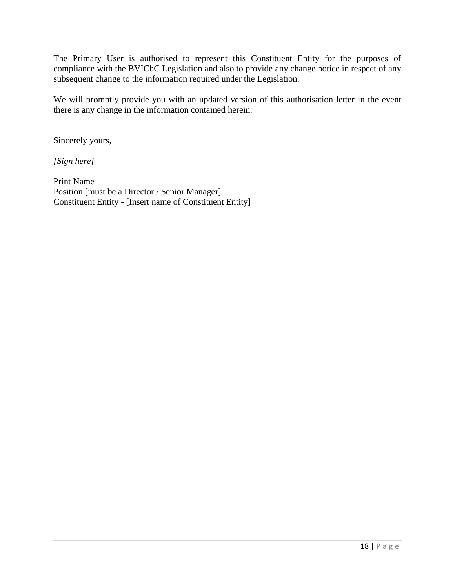The Primary User is authorised to represent this Constituent Entity for the purposes of compliance with the BVICbC Legislation and also to provide any change notice in respect of any subsequent change to the information required under the Legislation.

We will promptly provide you with an updated version of this authorisation letter in the event there is any change in the information contained herein.

Sincerely yours,

*[Sign here]*

Print Name Position [must be a Director / Senior Manager] Constituent Entity - [Insert name of Constituent Entity]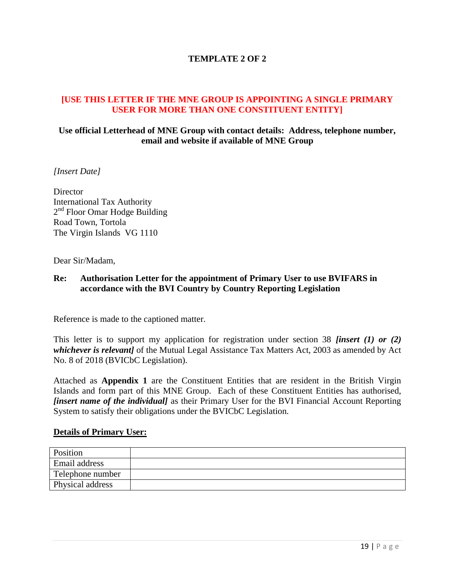## **TEMPLATE 2 OF 2**

### **[USE THIS LETTER IF THE MNE GROUP IS APPOINTING A SINGLE PRIMARY USER FOR MORE THAN ONE CONSTITUENT ENTITY]**

#### **Use official Letterhead of MNE Group with contact details: Address, telephone number, email and website if available of MNE Group**

*[Insert Date]*

**Director** International Tax Authority 2<sup>nd</sup> Floor Omar Hodge Building Road Town, Tortola The Virgin Islands VG 1110

Dear Sir/Madam,

#### **Re: Authorisation Letter for the appointment of Primary User to use BVIFARS in accordance with the BVI Country by Country Reporting Legislation**

Reference is made to the captioned matter.

This letter is to support my application for registration under section 38 *[insert (1) or (2) whichever is relevant]* of the Mutual Legal Assistance Tax Matters Act, 2003 as amended by Act No. 8 of 2018 (BVICbC Legislation).

Attached as **Appendix 1** are the Constituent Entities that are resident in the British Virgin Islands and form part of this MNE Group. Each of these Constituent Entities has authorised, *finsert name of the individual* as their Primary User for the BVI Financial Account Reporting System to satisfy their obligations under the BVICbC Legislation.

#### **Details of Primary User:**

| Position         |  |
|------------------|--|
| Email address    |  |
| Telephone number |  |
| Physical address |  |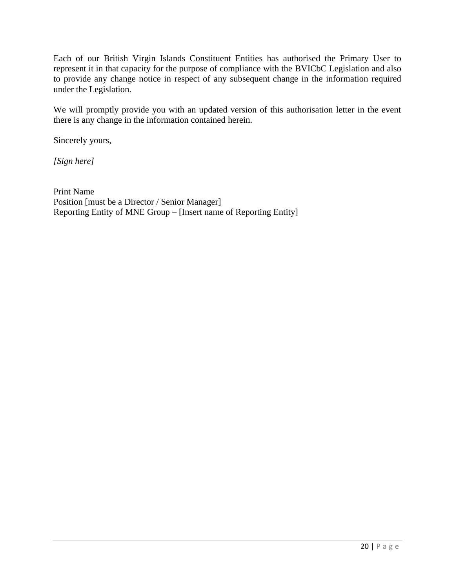Each of our British Virgin Islands Constituent Entities has authorised the Primary User to represent it in that capacity for the purpose of compliance with the BVICbC Legislation and also to provide any change notice in respect of any subsequent change in the information required under the Legislation.

We will promptly provide you with an updated version of this authorisation letter in the event there is any change in the information contained herein.

Sincerely yours,

*[Sign here]*

Print Name Position [must be a Director / Senior Manager] Reporting Entity of MNE Group – [Insert name of Reporting Entity]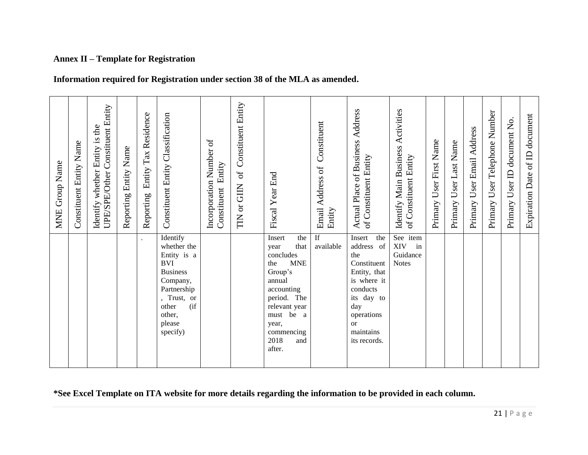## **Annex II – Template for Registration**

## **Information required for Registration under section 38 of the MLA as amended.**

|                                                                                                                                                                                | <b>MNE</b> Group Name                                                      |
|--------------------------------------------------------------------------------------------------------------------------------------------------------------------------------|----------------------------------------------------------------------------|
|                                                                                                                                                                                | Constituent Entity Name                                                    |
|                                                                                                                                                                                | UPE/SPE/Other Constituent Entity<br>whether Entity is the<br>Identify      |
|                                                                                                                                                                                | Reporting Entity Name                                                      |
|                                                                                                                                                                                | Entity Tax Residence<br>Reporting                                          |
| whether the<br>Entity is a<br><b>BVI</b><br><b>Business</b><br>Company,<br>Partnership<br>Trust, or<br>(i f)<br>other<br>other,<br>please<br>specify)                          | Constituent Entity Classification<br>Identify                              |
|                                                                                                                                                                                | Incorporation Number of<br>Constituent Entity                              |
|                                                                                                                                                                                | <b>Constituent Entity</b><br>$\sigma f$<br>TIN or GIIN                     |
| that<br>year<br>concludes<br><b>MNE</b><br>the<br>Group's<br>annual<br>accounting<br>period. The<br>relevant year<br>must be a<br>year,<br>commencing<br>2018<br>and<br>after. | Fiscal Year End<br>Insert<br>the                                           |
| available                                                                                                                                                                      | Constituent<br>Email Address of<br>Entity<br>$\overline{\text{If}}$        |
| address of<br>the<br>Constituent<br>Entity, that<br>is where it<br>conducts<br>its day to<br>day<br>operations<br><sub>or</sub><br>maintains<br>its records.                   | Actual Place of Business Address<br>of Constituent Entity<br>Insert<br>the |
| XIV<br>in<br>Guidance<br><b>Notes</b>                                                                                                                                          | Identify Main Business Activities<br>of Constituent Entity<br>See item     |
|                                                                                                                                                                                | User First Name<br>Primary                                                 |
|                                                                                                                                                                                | Primary User Last Name                                                     |
|                                                                                                                                                                                | User Email Address<br>Primary                                              |
|                                                                                                                                                                                | User Telephone Number<br>Primary                                           |
|                                                                                                                                                                                | User ID document No.<br>Primary                                            |
|                                                                                                                                                                                | Expiration Date of ID document                                             |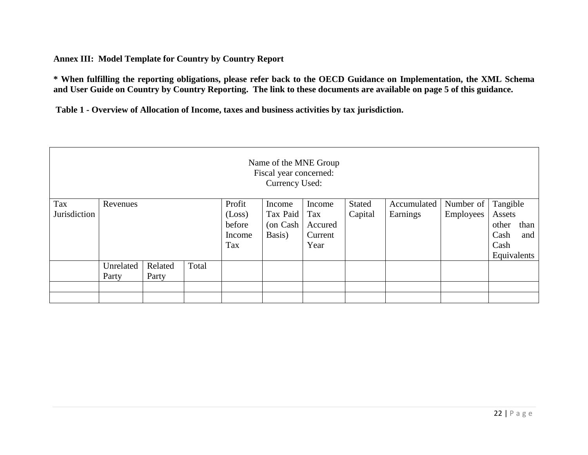**Annex III: Model Template for Country by Country Report**

**\* When fulfilling the reporting obligations, please refer back to the OECD Guidance on Implementation, the XML Schema and User Guide on Country by Country Reporting. The link to these documents are available on page 5 of this guidance.**

**Table 1 - Overview of Allocation of Income, taxes and business activities by tax jurisdiction.**

| Name of the MNE Group<br>Fiscal year concerned:<br>Currency Used: |           |         |       |        |          |         |         |             |           |               |
|-------------------------------------------------------------------|-----------|---------|-------|--------|----------|---------|---------|-------------|-----------|---------------|
| Tax                                                               | Revenues  |         |       | Profit | Income   | Income  | Stated  | Accumulated | Number of | Tangible      |
| Jurisdiction                                                      |           |         |       | (Loss) | Tax Paid | Tax     | Capital | Earnings    | Employees | Assets        |
|                                                                   |           |         |       | before | (on Cash | Accured |         |             |           | other<br>than |
|                                                                   |           |         |       | Income | Basis)   | Current |         |             |           | Cash<br>and   |
|                                                                   |           |         |       | Tax    |          | Year    |         |             |           | Cash          |
|                                                                   |           |         |       |        |          |         |         |             |           | Equivalents   |
|                                                                   | Unrelated | Related | Total |        |          |         |         |             |           |               |
|                                                                   | Party     | Party   |       |        |          |         |         |             |           |               |
|                                                                   |           |         |       |        |          |         |         |             |           |               |
|                                                                   |           |         |       |        |          |         |         |             |           |               |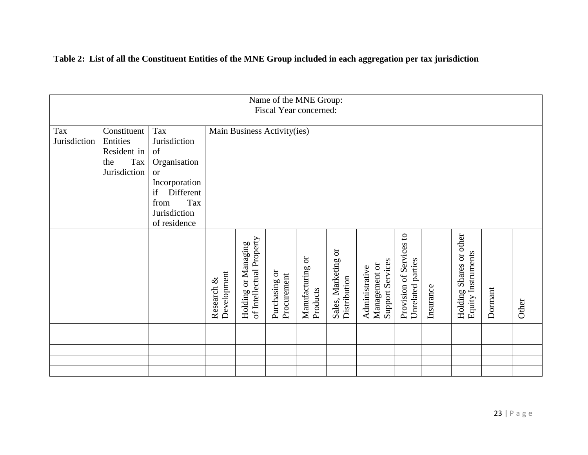| Table 2: List of all the Constituent Entities of the MNE Group included in each aggregation per tax jurisdiction |  |  |  |
|------------------------------------------------------------------------------------------------------------------|--|--|--|
|------------------------------------------------------------------------------------------------------------------|--|--|--|

| Name of the MNE Group: |                                                   |                 |                         |                          |                              |                           |                                  |                                                     |                          |           |                         |         |       |
|------------------------|---------------------------------------------------|-----------------|-------------------------|--------------------------|------------------------------|---------------------------|----------------------------------|-----------------------------------------------------|--------------------------|-----------|-------------------------|---------|-------|
| Fiscal Year concerned: |                                                   |                 |                         |                          |                              |                           |                                  |                                                     |                          |           |                         |         |       |
|                        |                                                   |                 |                         |                          |                              |                           |                                  |                                                     |                          |           |                         |         |       |
| Tax                    | Constituent<br>Main Business Activity(ies)<br>Tax |                 |                         |                          |                              |                           |                                  |                                                     |                          |           |                         |         |       |
| Jurisdiction           | Entities                                          | Jurisdiction    |                         |                          |                              |                           |                                  |                                                     |                          |           |                         |         |       |
|                        | Resident in                                       | of              |                         |                          |                              |                           |                                  |                                                     |                          |           |                         |         |       |
|                        | $\left  \right $ Tax<br>the                       | Organisation    |                         |                          |                              |                           |                                  |                                                     |                          |           |                         |         |       |
|                        | Jurisdiction                                      | $\alpha$        |                         |                          |                              |                           |                                  |                                                     |                          |           |                         |         |       |
|                        |                                                   | Incorporation   |                         |                          |                              |                           |                                  |                                                     |                          |           |                         |         |       |
|                        |                                                   | Different<br>if |                         |                          |                              |                           |                                  |                                                     |                          |           |                         |         |       |
|                        |                                                   | Tax<br>from     |                         |                          |                              |                           |                                  |                                                     |                          |           |                         |         |       |
|                        |                                                   | Jurisdiction    |                         |                          |                              |                           |                                  |                                                     |                          |           |                         |         |       |
|                        |                                                   | of residence    |                         |                          |                              |                           |                                  |                                                     |                          |           |                         |         |       |
|                        |                                                   |                 |                         |                          |                              |                           |                                  |                                                     |                          |           |                         |         |       |
|                        |                                                   |                 |                         | of Intellectual Property |                              |                           |                                  |                                                     | Provision of Services to |           | Holding Shares or other |         |       |
|                        |                                                   |                 |                         | Holding or Managing      |                              | ð                         | ð                                |                                                     |                          |           | Equity Instruments      |         |       |
|                        |                                                   |                 |                         |                          |                              |                           |                                  |                                                     |                          |           |                         |         |       |
|                        |                                                   |                 | $\infty$                |                          |                              |                           |                                  |                                                     |                          |           |                         |         |       |
|                        |                                                   |                 |                         |                          |                              |                           |                                  |                                                     |                          |           |                         |         |       |
|                        |                                                   |                 |                         |                          |                              |                           |                                  |                                                     |                          |           |                         |         |       |
|                        |                                                   |                 | Development<br>Research |                          | Purchasing or<br>Procurement | Manufacturing<br>Products | Sales, Marketing<br>Distribution | Support Services<br>Management or<br>Administrative | Unrelated parties        | Insurance |                         | Dormant | Other |
|                        |                                                   |                 |                         |                          |                              |                           |                                  |                                                     |                          |           |                         |         |       |
|                        |                                                   |                 |                         |                          |                              |                           |                                  |                                                     |                          |           |                         |         |       |
|                        |                                                   |                 |                         |                          |                              |                           |                                  |                                                     |                          |           |                         |         |       |
|                        |                                                   |                 |                         |                          |                              |                           |                                  |                                                     |                          |           |                         |         |       |
|                        |                                                   |                 |                         |                          |                              |                           |                                  |                                                     |                          |           |                         |         |       |
|                        |                                                   |                 |                         |                          |                              |                           |                                  |                                                     |                          |           |                         |         |       |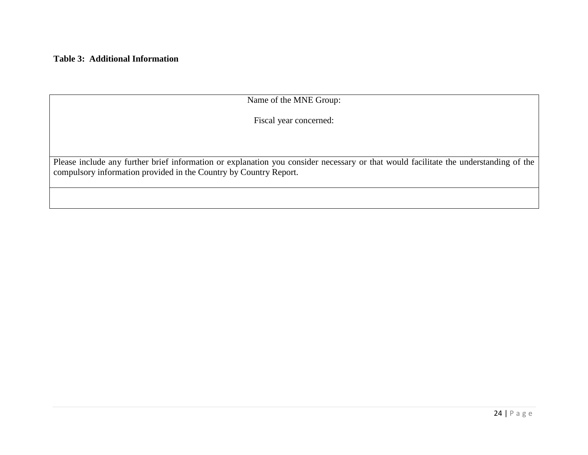#### **Table 3: Additional Information**

Name of the MNE Group:

Fiscal year concerned:

Please include any further brief information or explanation you consider necessary or that would facilitate the understanding of the compulsory information provided in the Country by Country Report.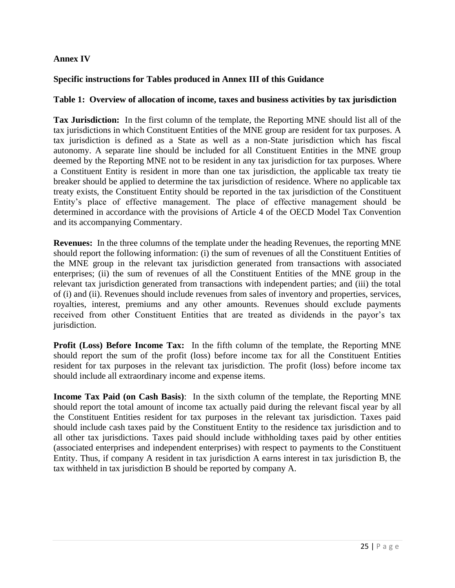### **Annex IV**

#### **Specific instructions for Tables produced in Annex III of this Guidance**

#### **Table 1: Overview of allocation of income, taxes and business activities by tax jurisdiction**

**Tax Jurisdiction:** In the first column of the template, the Reporting MNE should list all of the tax jurisdictions in which Constituent Entities of the MNE group are resident for tax purposes. A tax jurisdiction is defined as a State as well as a non-State jurisdiction which has fiscal autonomy. A separate line should be included for all Constituent Entities in the MNE group deemed by the Reporting MNE not to be resident in any tax jurisdiction for tax purposes. Where a Constituent Entity is resident in more than one tax jurisdiction, the applicable tax treaty tie breaker should be applied to determine the tax jurisdiction of residence. Where no applicable tax treaty exists, the Constituent Entity should be reported in the tax jurisdiction of the Constituent Entity's place of effective management. The place of effective management should be determined in accordance with the provisions of Article 4 of the OECD Model Tax Convention and its accompanying Commentary.

**Revenues:** In the three columns of the template under the heading Revenues, the reporting MNE should report the following information: (i) the sum of revenues of all the Constituent Entities of the MNE group in the relevant tax jurisdiction generated from transactions with associated enterprises; (ii) the sum of revenues of all the Constituent Entities of the MNE group in the relevant tax jurisdiction generated from transactions with independent parties; and (iii) the total of (i) and (ii). Revenues should include revenues from sales of inventory and properties, services, royalties, interest, premiums and any other amounts. Revenues should exclude payments received from other Constituent Entities that are treated as dividends in the payor's tax jurisdiction.

**Profit (Loss) Before Income Tax:** In the fifth column of the template, the Reporting MNE should report the sum of the profit (loss) before income tax for all the Constituent Entities resident for tax purposes in the relevant tax jurisdiction. The profit (loss) before income tax should include all extraordinary income and expense items.

**Income Tax Paid (on Cash Basis)**: In the sixth column of the template, the Reporting MNE should report the total amount of income tax actually paid during the relevant fiscal year by all the Constituent Entities resident for tax purposes in the relevant tax jurisdiction. Taxes paid should include cash taxes paid by the Constituent Entity to the residence tax jurisdiction and to all other tax jurisdictions. Taxes paid should include withholding taxes paid by other entities (associated enterprises and independent enterprises) with respect to payments to the Constituent Entity. Thus, if company A resident in tax jurisdiction A earns interest in tax jurisdiction B, the tax withheld in tax jurisdiction B should be reported by company A.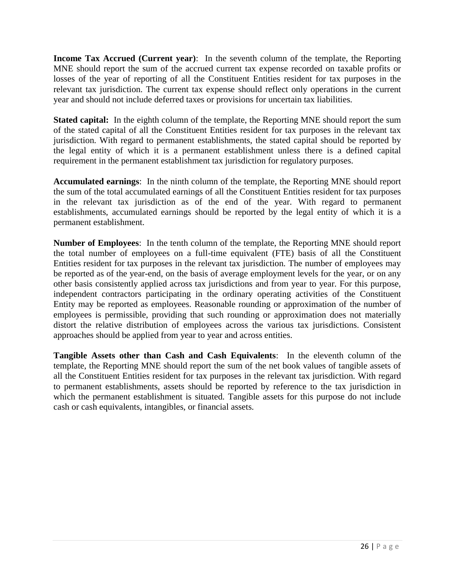**Income Tax Accrued (Current year)**: In the seventh column of the template, the Reporting MNE should report the sum of the accrued current tax expense recorded on taxable profits or losses of the year of reporting of all the Constituent Entities resident for tax purposes in the relevant tax jurisdiction. The current tax expense should reflect only operations in the current year and should not include deferred taxes or provisions for uncertain tax liabilities.

**Stated capital:** In the eighth column of the template, the Reporting MNE should report the sum of the stated capital of all the Constituent Entities resident for tax purposes in the relevant tax jurisdiction. With regard to permanent establishments, the stated capital should be reported by the legal entity of which it is a permanent establishment unless there is a defined capital requirement in the permanent establishment tax jurisdiction for regulatory purposes.

**Accumulated earnings**: In the ninth column of the template, the Reporting MNE should report the sum of the total accumulated earnings of all the Constituent Entities resident for tax purposes in the relevant tax jurisdiction as of the end of the year. With regard to permanent establishments, accumulated earnings should be reported by the legal entity of which it is a permanent establishment.

**Number of Employees**: In the tenth column of the template, the Reporting MNE should report the total number of employees on a full-time equivalent (FTE) basis of all the Constituent Entities resident for tax purposes in the relevant tax jurisdiction. The number of employees may be reported as of the year-end, on the basis of average employment levels for the year, or on any other basis consistently applied across tax jurisdictions and from year to year. For this purpose, independent contractors participating in the ordinary operating activities of the Constituent Entity may be reported as employees. Reasonable rounding or approximation of the number of employees is permissible, providing that such rounding or approximation does not materially distort the relative distribution of employees across the various tax jurisdictions. Consistent approaches should be applied from year to year and across entities.

**Tangible Assets other than Cash and Cash Equivalents**: In the eleventh column of the template, the Reporting MNE should report the sum of the net book values of tangible assets of all the Constituent Entities resident for tax purposes in the relevant tax jurisdiction. With regard to permanent establishments, assets should be reported by reference to the tax jurisdiction in which the permanent establishment is situated. Tangible assets for this purpose do not include cash or cash equivalents, intangibles, or financial assets.